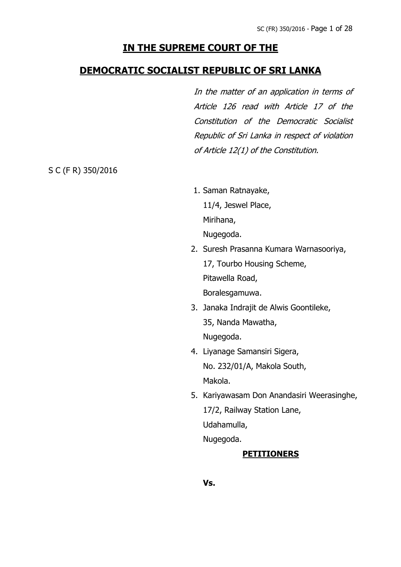# **IN THE SUPREME COURT OF THE**

## **DEMOCRATIC SOCIALIST REPUBLIC OF SRI LANKA**

In the matter of an application in terms of Article 126 read with Article 17 of the Constitution of the Democratic Socialist Republic of Sri Lanka in respect of violation of Article 12(1) of the Constitution.

S C (F R) 350/2016

- 1. Saman Ratnayake, 11/4, Jeswel Place, Mirihana, Nugegoda.
- 2. Suresh Prasanna Kumara Warnasooriya, 17, Tourbo Housing Scheme, Pitawella Road, Boralesgamuwa.
- 3. Janaka Indrajit de Alwis Goontileke, 35, Nanda Mawatha, Nugegoda.
- 4. Liyanage Samansiri Sigera, No. 232/01/A, Makola South, Makola.
- 5. Kariyawasam Don Anandasiri Weerasinghe, 17/2, Railway Station Lane, Udahamulla, Nugegoda.

### **PETITIONERS**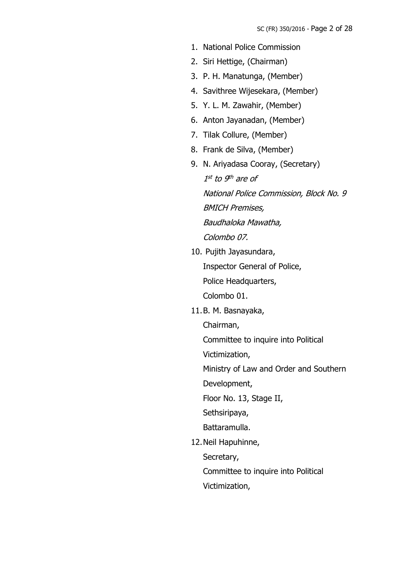- 1. National Police Commission
- 2. Siri Hettige, (Chairman)
- 3. P. H. Manatunga, (Member)
- 4. Savithree Wijesekara, (Member)
- 5. Y. L. M. Zawahir, (Member)
- 6. Anton Jayanadan, (Member)
- 7. Tilak Collure, (Member)
- 8. Frank de Silva, (Member)
- 9. N. Ariyadasa Cooray, (Secretary) 1<sup>st</sup> to 9<sup>th</sup> are of National Police Commission, Block No. 9 BMICH Premises, Baudhaloka Mawatha, Colombo 07.
- 10. Pujith Jayasundara, Inspector General of Police, Police Headquarters, Colombo 01.
- 11.B. M. Basnayaka,
	- Chairman,

Committee to inquire into Political

Victimization,

Ministry of Law and Order and Southern

Development,

Floor No. 13, Stage II,

Sethsiripaya,

Battaramulla.

12.Neil Hapuhinne,

Secretary,

Committee to inquire into Political

Victimization,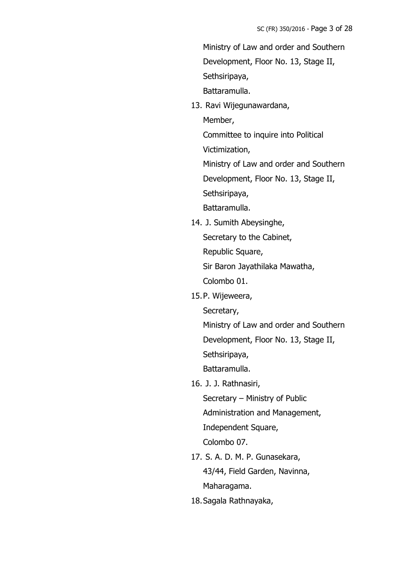Ministry of Law and order and Southern Development, Floor No. 13, Stage II, Sethsiripaya,

Battaramulla.

13. Ravi Wijegunawardana, Member,

Committee to inquire into Political

Victimization,

Ministry of Law and order and Southern

Development, Floor No. 13, Stage II,

Sethsiripaya,

Battaramulla.

14. J. Sumith Abeysinghe, Secretary to the Cabinet,

Republic Square,

Sir Baron Jayathilaka Mawatha,

Colombo 01.

15.P. Wijeweera,

Secretary,

Ministry of Law and order and Southern Development, Floor No. 13, Stage II,

Sethsiripaya,

Battaramulla.

16. J. J. Rathnasiri,

Secretary – Ministry of Public Administration and Management, Independent Square,

Colombo 07.

- 17. S. A. D. M. P. Gunasekara, 43/44, Field Garden, Navinna, Maharagama.
- 18.Sagala Rathnayaka,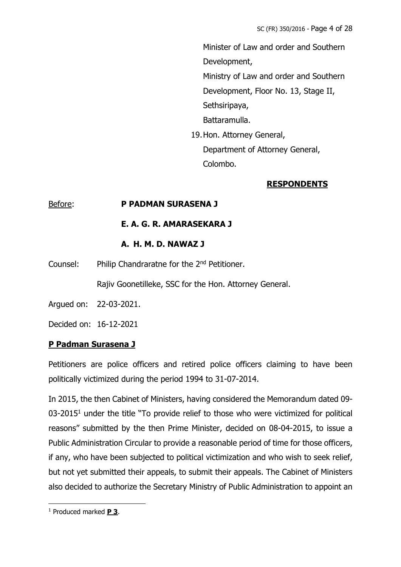Minister of Law and order and Southern Development, Ministry of Law and order and Southern Development, Floor No. 13, Stage II, Sethsiripaya, Battaramulla. 19.Hon. Attorney General, Department of Attorney General,

# **RESPONDENTS**

### Before: **P PADMAN SURASENA J**

### **E. A. G. R. AMARASEKARA J**

### **A. H. M. D. NAWAZ J**

Counsel: Philip Chandraratne for the 2nd Petitioner.

Rajiv Goonetilleke, SSC for the Hon. Attorney General.

Colombo.

Argued on: 22-03-2021.

Decided on: 16-12-2021

### **P Padman Surasena J**

Petitioners are police officers and retired police officers claiming to have been politically victimized during the period 1994 to 31-07-2014.

In 2015, the then Cabinet of Ministers, having considered the Memorandum dated 09-  $03-2015<sup>1</sup>$  under the title "To provide relief to those who were victimized for political reasons" submitted by the then Prime Minister, decided on 08-04-2015, to issue a Public Administration Circular to provide a reasonable period of time for those officers, if any, who have been subjected to political victimization and who wish to seek relief, but not yet submitted their appeals, to submit their appeals. The Cabinet of Ministers also decided to authorize the Secretary Ministry of Public Administration to appoint an

<sup>1</sup> Produced marked **P 3**.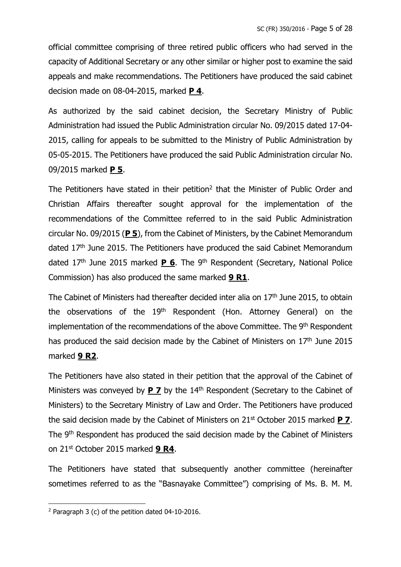official committee comprising of three retired public officers who had served in the capacity of Additional Secretary or any other similar or higher post to examine the said appeals and make recommendations. The Petitioners have produced the said cabinet decision made on 08-04-2015, marked **P 4**.

As authorized by the said cabinet decision, the Secretary Ministry of Public Administration had issued the Public Administration circular No. 09/2015 dated 17-04- 2015, calling for appeals to be submitted to the Ministry of Public Administration by 05-05-2015. The Petitioners have produced the said Public Administration circular No. 09/2015 marked **P 5**.

The Petitioners have stated in their petition<sup>2</sup> that the Minister of Public Order and Christian Affairs thereafter sought approval for the implementation of the recommendations of the Committee referred to in the said Public Administration circular No. 09/2015 (**P 5**), from the Cabinet of Ministers, by the Cabinet Memorandum dated 17<sup>th</sup> June 2015. The Petitioners have produced the said Cabinet Memorandum dated 17<sup>th</sup> June 2015 marked **P 6**. The 9<sup>th</sup> Respondent (Secretary, National Police Commission) has also produced the same marked **9 R1**.

The Cabinet of Ministers had thereafter decided inter alia on  $17<sup>th</sup>$  June 2015, to obtain the observations of the 19<sup>th</sup> Respondent (Hon. Attorney General) on the implementation of the recommendations of the above Committee. The 9<sup>th</sup> Respondent has produced the said decision made by the Cabinet of Ministers on 17<sup>th</sup> June 2015 marked **9 R2**.

The Petitioners have also stated in their petition that the approval of the Cabinet of Ministers was conveyed by **P 7** by the 14th Respondent (Secretary to the Cabinet of Ministers) to the Secretary Ministry of Law and Order. The Petitioners have produced the said decision made by the Cabinet of Ministers on 21st October 2015 marked **P 7**. The 9<sup>th</sup> Respondent has produced the said decision made by the Cabinet of Ministers on 21st October 2015 marked **9 R4**.

The Petitioners have stated that subsequently another committee (hereinafter sometimes referred to as the "Basnayake Committee") comprising of Ms. B. M. M.

 $2$  Paragraph 3 (c) of the petition dated 04-10-2016.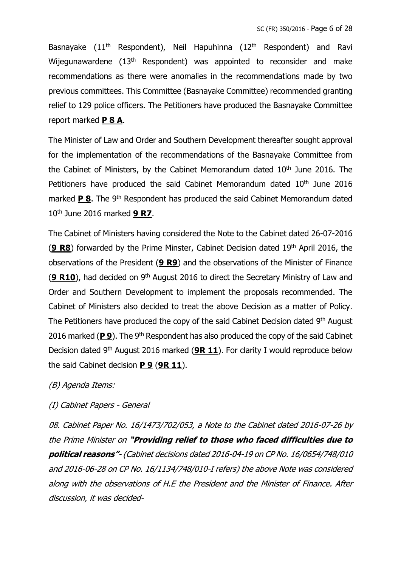Basnayake (11<sup>th</sup> Respondent), Neil Hapuhinna (12<sup>th</sup> Respondent) and Ravi Wijegunawardene (13<sup>th</sup> Respondent) was appointed to reconsider and make recommendations as there were anomalies in the recommendations made by two previous committees. This Committee (Basnayake Committee) recommended granting relief to 129 police officers. The Petitioners have produced the Basnayake Committee report marked **P 8 A**.

The Minister of Law and Order and Southern Development thereafter sought approval for the implementation of the recommendations of the Basnayake Committee from the Cabinet of Ministers, by the Cabinet Memorandum dated  $10<sup>th</sup>$  June 2016. The Petitioners have produced the said Cabinet Memorandum dated 10<sup>th</sup> June 2016 marked **P 8**. The 9<sup>th</sup> Respondent has produced the said Cabinet Memorandum dated 10th June 2016 marked **9 R7**.

The Cabinet of Ministers having considered the Note to the Cabinet dated 26-07-2016 (**9 R8**) forwarded by the Prime Minster, Cabinet Decision dated 19th April 2016, the observations of the President (**9 R9**) and the observations of the Minister of Finance (9 R10), had decided on 9<sup>th</sup> August 2016 to direct the Secretary Ministry of Law and Order and Southern Development to implement the proposals recommended. The Cabinet of Ministers also decided to treat the above Decision as a matter of Policy. The Petitioners have produced the copy of the said Cabinet Decision dated 9<sup>th</sup> August 2016 marked (P 9). The 9<sup>th</sup> Respondent has also produced the copy of the said Cabinet Decision dated 9 th August 2016 marked (**9R 11**). For clarity I would reproduce below the said Cabinet decision **P 9** (**9R 11**).

### (B) Agenda Items:

### (I) Cabinet Papers - General

08. Cabinet Paper No. 16/1473/702/053, <sup>a</sup> Note to the Cabinet dated 2016-07-26 by the Prime Minister on **"Providing relief to those who faced difficulties due to political reasons"**- (Cabinet decisions dated 2016-04-19 on CP No. 16/0654/748/010 and 2016-06-28 on CP No. 16/1134/748/010-I refers) the above Note was considered along with the observations of H.E the President and the Minister of Finance. After discussion, it was decided-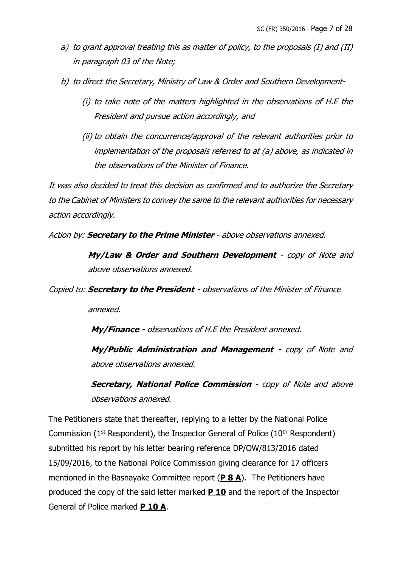- a) to grant approval treating this as matter of policy, to the proposals (I) and (II) in paragraph 03 of the Note;
- b) to direct the Secretary, Ministry of Law & Order and Southern Development-
	- (i) to take note of the matters highlighted in the observations of H.E the President and pursue action accordingly, and
	- (ii) to obtain the concurrence/approval of the relevant authorities prior to implementation of the proposals referred to at (a) above, as indicated in the observations of the Minister of Finance.

It was also decided to treat this decision as confirmed and to authorize the Secretary to the Cabinet of Ministers to convey the same to the relevant authorities for necessary action accordingly.

Action by: **Secretary to the Prime Minister** - above observations annexed.

**My/Law & Order and Southern Development** - copy of Note and above observations annexed.

Copied to: **Secretary to the President -** observations of the Minister of Finance

annexed.

**My/Finance -** observations of H.E the President annexed.

**My/Public Administration and Management -** copy of Note and above observations annexed.

**Secretary, National Police Commission** - copy of Note and above observations annexed.

The Petitioners state that thereafter, replying to a letter by the National Police Commission ( $1<sup>st</sup>$  Respondent), the Inspector General of Police ( $10<sup>th</sup>$  Respondent) submitted his report by his letter bearing reference DP/OW/813/2016 dated 15/09/2016, to the National Police Commission giving clearance for 17 officers mentioned in the Basnayake Committee report (**P 8 A**). The Petitioners have produced the copy of the said letter marked **P 10** and the report of the Inspector General of Police marked **P 10 A**.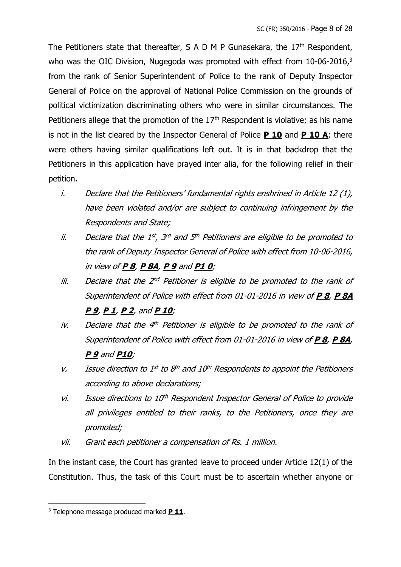The Petitioners state that thereafter, S A D M P Gunasekara, the  $17<sup>th</sup>$  Respondent, who was the OIC Division, Nugegoda was promoted with effect from 10-06-2016,<sup>3</sup> from the rank of Senior Superintendent of Police to the rank of Deputy Inspector General of Police on the approval of National Police Commission on the grounds of political victimization discriminating others who were in similar circumstances. The Petitioners allege that the promotion of the  $17<sup>th</sup>$  Respondent is violative; as his name is not in the list cleared by the Inspector General of Police **P 10** and **P 10 A**; there were others having similar qualifications left out. It is in that backdrop that the Petitioners in this application have prayed inter alia, for the following relief in their petition.

- i. Declare that the Petitioners' fundamental rights enshrined in Article 12 (1), have been violated and/or are subject to continuing infringement by the Respondents and State;
- ii. Declare that the 1st, 3rd and 5th Petitioners are eligible to be promoted to the rank of Deputy Inspector General of Police with effect from 10-06-2016, in view of **P 8**, **P 8A**, **P 9** and **P1 0**;
- iii. Declare that the 2<sup>nd</sup> Petitioner is eligible to be promoted to the rank of Superintendent of Police with effect from 01-01-2016 in view of **P 8**, **P 8A P 9**, **P 1**, **P 2**, and **P 10**;
- iv. Declare that the 4th Petitioner is eligible to be promoted to the rank of Superintendent of Police with effect from 01-01-2016 in view of **P 8**, **P 8A**, **P 9** and **P10**;
- v. Issue direction to  $1^{st}$  to  $8^{th}$  and  $10^{th}$  Respondents to appoint the Petitioners according to above declarations;
- $vi.$  Issue directions to 10<sup>th</sup> Respondent Inspector General of Police to provide all privileges entitled to their ranks, to the Petitioners, once they are promoted;
- vii. Grant each petitioner a compensation of Rs. 1 million.

In the instant case, the Court has granted leave to proceed under Article 12(1) of the Constitution. Thus, the task of this Court must be to ascertain whether anyone or

<sup>3</sup> Telephone message produced marked **P 11**.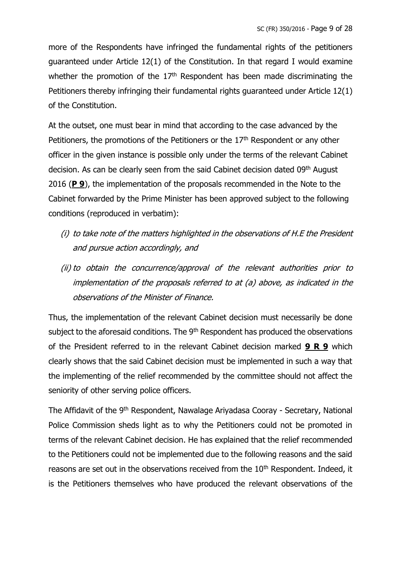more of the Respondents have infringed the fundamental rights of the petitioners guaranteed under Article 12(1) of the Constitution. In that regard I would examine whether the promotion of the  $17<sup>th</sup>$  Respondent has been made discriminating the Petitioners thereby infringing their fundamental rights guaranteed under Article 12(1) of the Constitution.

At the outset, one must bear in mind that according to the case advanced by the Petitioners, the promotions of the Petitioners or the 17<sup>th</sup> Respondent or any other officer in the given instance is possible only under the terms of the relevant Cabinet decision. As can be clearly seen from the said Cabinet decision dated 09<sup>th</sup> August 2016 (**P 9**), the implementation of the proposals recommended in the Note to the Cabinet forwarded by the Prime Minister has been approved subject to the following conditions (reproduced in verbatim):

- (i) to take note of the matters highlighted in the observations of H.E the President and pursue action accordingly, and
- (ii) to obtain the concurrence/approval of the relevant authorities prior to implementation of the proposals referred to at (a) above, as indicated in the observations of the Minister of Finance.

Thus, the implementation of the relevant Cabinet decision must necessarily be done subject to the aforesaid conditions. The 9<sup>th</sup> Respondent has produced the observations of the President referred to in the relevant Cabinet decision marked **9 R 9** which clearly shows that the said Cabinet decision must be implemented in such a way that the implementing of the relief recommended by the committee should not affect the seniority of other serving police officers.

The Affidavit of the 9<sup>th</sup> Respondent, Nawalage Ariyadasa Cooray - Secretary, National Police Commission sheds light as to why the Petitioners could not be promoted in terms of the relevant Cabinet decision. He has explained that the relief recommended to the Petitioners could not be implemented due to the following reasons and the said reasons are set out in the observations received from the 10<sup>th</sup> Respondent. Indeed, it is the Petitioners themselves who have produced the relevant observations of the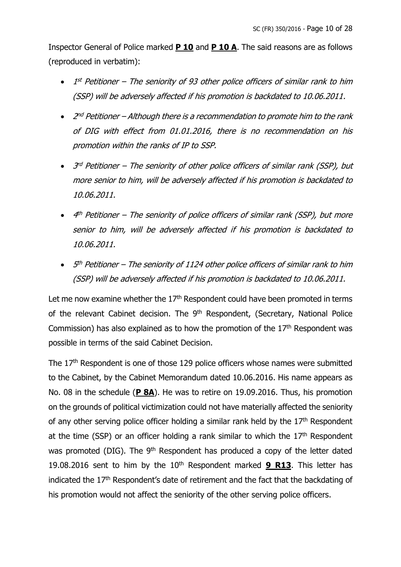Inspector General of Police marked **P 10** and **P 10 A**. The said reasons are as follows (reproduced in verbatim):

- 1<sup>st</sup> Petitioner The seniority of 93 other police officers of similar rank to him (SSP) will be adversely affected if his promotion is backdated to 10.06.2011.
- $\bullet$  2<sup>nd</sup> Petitioner Although there is a recommendation to promote him to the rank of DIG with effect from 01.01.2016, there is no recommendation on his promotion within the ranks of IP to SSP.
- 3<sup>rd</sup> Petitioner The seniority of other police officers of similar rank (SSP), but more senior to him, will be adversely affected if his promotion is backdated to 10.06.2011.
- $\bullet$  4<sup>th</sup> Petitioner The seniority of police officers of similar rank (SSP), but more senior to him, will be adversely affected if his promotion is backdated to 10.06.2011.
- $\bullet$  5<sup>th</sup> Petitioner The seniority of 1124 other police officers of similar rank to him (SSP) will be adversely affected if his promotion is backdated to 10.06.2011.

Let me now examine whether the  $17<sup>th</sup>$  Respondent could have been promoted in terms of the relevant Cabinet decision. The 9<sup>th</sup> Respondent, (Secretary, National Police Commission) has also explained as to how the promotion of the  $17<sup>th</sup>$  Respondent was possible in terms of the said Cabinet Decision.

The 17<sup>th</sup> Respondent is one of those 129 police officers whose names were submitted to the Cabinet, by the Cabinet Memorandum dated 10.06.2016. His name appears as No. 08 in the schedule (**P 8A**). He was to retire on 19.09.2016. Thus, his promotion on the grounds of political victimization could not have materially affected the seniority of any other serving police officer holding a similar rank held by the  $17<sup>th</sup>$  Respondent at the time (SSP) or an officer holding a rank similar to which the  $17<sup>th</sup>$  Respondent was promoted (DIG). The 9<sup>th</sup> Respondent has produced a copy of the letter dated 19.08.2016 sent to him by the 10th Respondent marked **9 R13**. This letter has indicated the  $17<sup>th</sup>$  Respondent's date of retirement and the fact that the backdating of his promotion would not affect the seniority of the other serving police officers.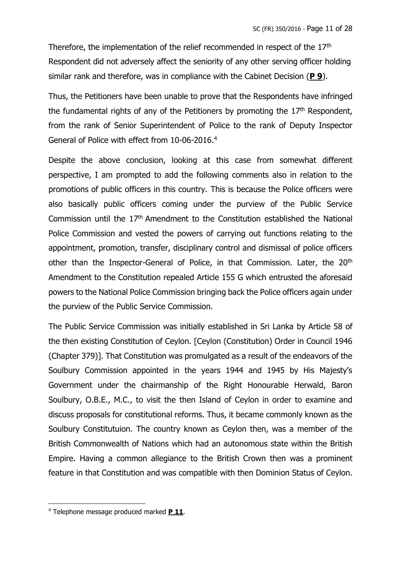Therefore, the implementation of the relief recommended in respect of the 17<sup>th</sup> Respondent did not adversely affect the seniority of any other serving officer holding similar rank and therefore, was in compliance with the Cabinet Decision (**P 9**).

Thus, the Petitioners have been unable to prove that the Respondents have infringed the fundamental rights of any of the Petitioners by promoting the  $17<sup>th</sup>$  Respondent, from the rank of Senior Superintendent of Police to the rank of Deputy Inspector General of Police with effect from 10-06-2016. 4

Despite the above conclusion, looking at this case from somewhat different perspective, I am prompted to add the following comments also in relation to the promotions of public officers in this country. This is because the Police officers were also basically public officers coming under the purview of the Public Service Commission until the 17th Amendment to the Constitution established the National Police Commission and vested the powers of carrying out functions relating to the appointment, promotion, transfer, disciplinary control and dismissal of police officers other than the Inspector-General of Police, in that Commission. Later, the 20<sup>th</sup> Amendment to the Constitution repealed Article 155 G which entrusted the aforesaid powers to the National Police Commission bringing back the Police officers again under the purview of the Public Service Commission.

The Public Service Commission was initially established in Sri Lanka by Article 58 of the then existing Constitution of Ceylon. [Ceylon (Constitution) Order in Council 1946 (Chapter 379)]. That Constitution was promulgated as a result of the endeavors of the Soulbury Commission appointed in the years 1944 and 1945 by His Majesty's Government under the chairmanship of the Right Honourable Herwald, Baron Soulbury, O.B.E., M.C., to visit the then Island of Ceylon in order to examine and discuss proposals for constitutional reforms. Thus, it became commonly known as the Soulbury Constitutuion. The country known as Ceylon then, was a member of the British Commonwealth of Nations which had an autonomous state within the British Empire. Having a common allegiance to the British Crown then was a prominent feature in that Constitution and was compatible with then Dominion Status of Ceylon.

<sup>4</sup> Telephone message produced marked **P 11**.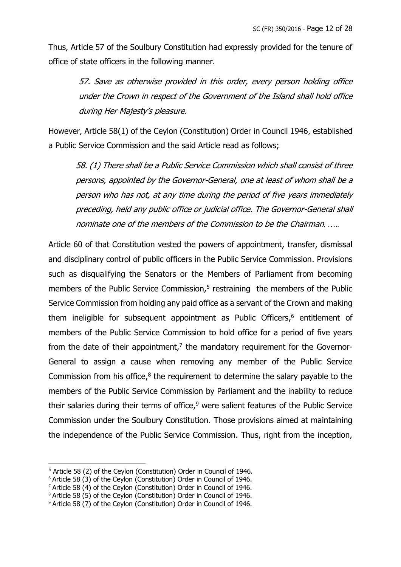Thus, Article 57 of the Soulbury Constitution had expressly provided for the tenure of office of state officers in the following manner.

> 57. Save as otherwise provided in this order, every person holding office under the Crown in respect of the Government of the Island shall hold office during Her Majesty's pleasure.

However, Article 58(1) of the Ceylon (Constitution) Order in Council 1946, established a Public Service Commission and the said Article read as follows;

58. (1) There shall be a Public Service Commission which shall consist of three persons, appointed by the Governor-General, one at least of whom shall be a person who has not, at any time during the period of five years immediately preceding, held any public office or judicial office. The Governor-General shall nominate one of the members of the Commission to be the Chairman*. …..*

Article 60 of that Constitution vested the powers of appointment, transfer, dismissal and disciplinary control of public officers in the Public Service Commission. Provisions such as disqualifying the Senators or the Members of Parliament from becoming members of the Public Service Commission, $5$  restraining the members of the Public Service Commission from holding any paid office as a servant of the Crown and making them ineligible for subsequent appointment as Public Officers, <sup>6</sup> entitlement of members of the Public Service Commission to hold office for a period of five years from the date of their appointment, $<sup>7</sup>$  the mandatory requirement for the Governor-</sup> General to assign a cause when removing any member of the Public Service Commission from his office, $<sup>8</sup>$  the requirement to determine the salary payable to the</sup> members of the Public Service Commission by Parliament and the inability to reduce their salaries during their terms of office, $9$  were salient features of the Public Service Commission under the Soulbury Constitution. Those provisions aimed at maintaining the independence of the Public Service Commission. Thus, right from the inception,

<sup>5</sup> Article 58 (2) of the Ceylon (Constitution) Order in Council of 1946.

<sup>&</sup>lt;sup>6</sup> Article 58 (3) of the Ceylon (Constitution) Order in Council of 1946.

 $7$  Article 58 (4) of the Ceylon (Constitution) Order in Council of 1946.

<sup>8</sup> Article 58 (5) of the Ceylon (Constitution) Order in Council of 1946.

<sup>&</sup>lt;sup>9</sup> Article 58 (7) of the Ceylon (Constitution) Order in Council of 1946.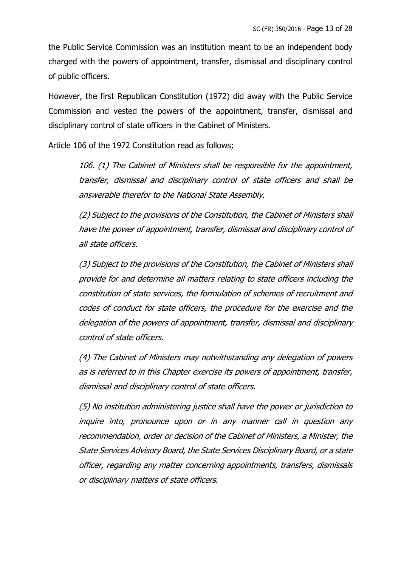the Public Service Commission was an institution meant to be an independent body charged with the powers of appointment, transfer, dismissal and disciplinary control of public officers.

However, the first Republican Constitution (1972) did away with the Public Service Commission and vested the powers of the appointment, transfer, dismissal and disciplinary control of state officers in the Cabinet of Ministers.

Article 106 of the 1972 Constitution read as follows;

106. (1) The Cabinet of Ministers shall be responsible for the appointment, transfer, dismissal and disciplinary control of state officers and shall be answerable therefor to the National State Assembly.

(2) Subject to the provisions of the Constitution, the Cabinet of Ministers shall have the power of appointment, transfer, dismissal and disciplinary control of all state officers.

(3) Subject to the provisions of the Constitution, the Cabinet of Ministers shall provide for and determine all matters relating to state officers including the constitution of state services, the formulation of schemes of recruitment and codes of conduct for state officers, the procedure for the exercise and the delegation of the powers of appointment, transfer, dismissal and disciplinary control of state officers.

(4) The Cabinet of Ministers may notwithstanding any delegation of powers as is referred to in this Chapter exercise its powers of appointment, transfer, dismissal and disciplinary control of state officers.

(5) No institution administering justice shall have the power or jurisdiction to inquire into, pronounce upon or in any manner call in question any recommendation, order or decision of the Cabinet of Ministers, a Minister, the State Services Advisory Board, the State Services Disciplinary Board, or a state officer, regarding any matter concerning appointments, transfers, dismissals or disciplinary matters of state officers.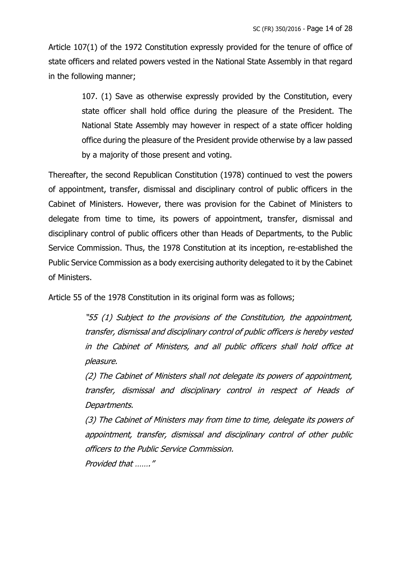Article 107(1) of the 1972 Constitution expressly provided for the tenure of office of state officers and related powers vested in the National State Assembly in that regard in the following manner;

> 107. (1) Save as otherwise expressly provided by the Constitution, every state officer shall hold office during the pleasure of the President. The National State Assembly may however in respect of a state officer holding office during the pleasure of the President provide otherwise by a law passed by a majority of those present and voting.

Thereafter, the second Republican Constitution (1978) continued to vest the powers of appointment, transfer, dismissal and disciplinary control of public officers in the Cabinet of Ministers. However, there was provision for the Cabinet of Ministers to delegate from time to time, its powers of appointment, transfer, dismissal and disciplinary control of public officers other than Heads of Departments, to the Public Service Commission. Thus, the 1978 Constitution at its inception, re-established the Public Service Commission as a body exercising authority delegated to it by the Cabinet of Ministers.

Article 55 of the 1978 Constitution in its original form was as follows;

"55 (1) Subject to the provisions of the Constitution, the appointment, transfer, dismissal and disciplinary control of public officers is hereby vested in the Cabinet of Ministers, and all public officers shall hold office at pleasure.

(2) The Cabinet of Ministers shall not delegate its powers of appointment, transfer, dismissal and disciplinary control in respect of Heads of Departments.

(3) The Cabinet of Ministers may from time to time, delegate its powers of appointment, transfer, dismissal and disciplinary control of other public officers to the Public Service Commission. Provided that ……."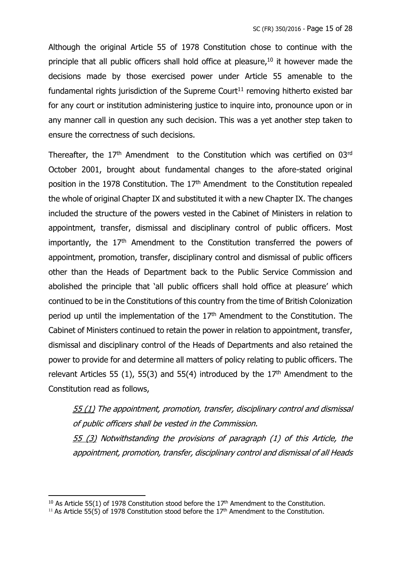Although the original Article 55 of 1978 Constitution chose to continue with the principle that all public officers shall hold office at pleasure,<sup>10</sup> it however made the decisions made by those exercised power under Article 55 amenable to the fundamental rights jurisdiction of the Supreme Court<sup>11</sup> removing hitherto existed bar for any court or institution administering justice to inquire into, pronounce upon or in any manner call in question any such decision. This was a yet another step taken to ensure the correctness of such decisions.

Thereafter, the  $17<sup>th</sup>$  Amendment to the Constitution which was certified on 03 $rd$ October 2001, brought about fundamental changes to the afore-stated original position in the 1978 Constitution. The  $17<sup>th</sup>$  Amendment to the Constitution repealed the whole of original Chapter IX and substituted it with a new Chapter IX. The changes included the structure of the powers vested in the Cabinet of Ministers in relation to appointment, transfer, dismissal and disciplinary control of public officers. Most importantly, the  $17<sup>th</sup>$  Amendment to the Constitution transferred the powers of appointment, promotion, transfer, disciplinary control and dismissal of public officers other than the Heads of Department back to the Public Service Commission and abolished the principle that 'all public officers shall hold office at pleasure' which continued to be in the Constitutions of this country from the time of British Colonization period up until the implementation of the  $17<sup>th</sup>$  Amendment to the Constitution. The Cabinet of Ministers continued to retain the power in relation to appointment, transfer, dismissal and disciplinary control of the Heads of Departments and also retained the power to provide for and determine all matters of policy relating to public officers. The relevant Articles 55 (1), 55(3) and 55(4) introduced by the  $17<sup>th</sup>$  Amendment to the Constitution read as follows,

55 (1) The appointment, promotion, transfer, disciplinary control and dismissal of public officers shall be vested in the Commission. 55 (3) Notwithstanding the provisions of paragraph (1) of this Article, the appointment, promotion, transfer, disciplinary control and dismissal of all Heads

<sup>&</sup>lt;sup>10</sup> As Article 55(1) of 1978 Constitution stood before the  $17<sup>th</sup>$  Amendment to the Constitution.

<sup>&</sup>lt;sup>11</sup> As Article 55(5) of 1978 Constitution stood before the  $17<sup>th</sup>$  Amendment to the Constitution.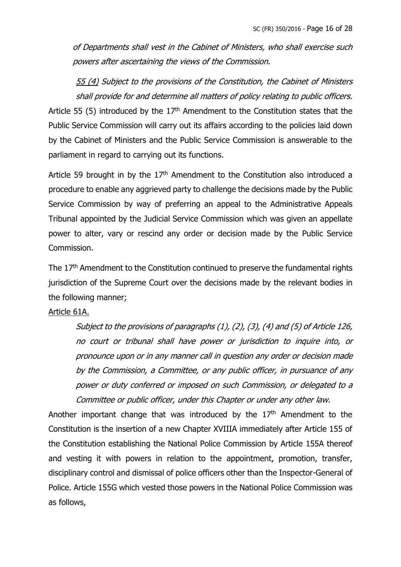of Departments shall vest in the Cabinet of Ministers, who shall exercise such powers after ascertaining the views of the Commission.

55 (4) Subject to the provisions of the Constitution, the Cabinet of Ministers shall provide for and determine all matters of policy relating to public officers. Article 55 (5) introduced by the  $17<sup>th</sup>$  Amendment to the Constitution states that the Public Service Commission will carry out its affairs according to the policies laid down by the Cabinet of Ministers and the Public Service Commission is answerable to the parliament in regard to carrying out its functions.

Article 59 brought in by the  $17<sup>th</sup>$  Amendment to the Constitution also introduced a procedure to enable any aggrieved party to challenge the decisions made by the Public Service Commission by way of preferring an appeal to the Administrative Appeals Tribunal appointed by the Judicial Service Commission which was given an appellate power to alter, vary or rescind any order or decision made by the Public Service Commission.

The 17<sup>th</sup> Amendment to the Constitution continued to preserve the fundamental rights jurisdiction of the Supreme Court over the decisions made by the relevant bodies in the following manner;

#### Article 61A.

Subject to the provisions of paragraphs (1), (2), (3), (4) and (5) of Article 126, no court or tribunal shall have power or jurisdiction to inquire into, or pronounce upon or in any manner call in question any order or decision made by the Commission, a Committee, or any public officer, in pursuance of any power or duty conferred or imposed on such Commission, or delegated to a Committee or public officer, under this Chapter or under any other law.

Another important change that was introduced by the 17<sup>th</sup> Amendment to the Constitution is the insertion of a new Chapter XVIIIA immediately after Article 155 of the Constitution establishing the National Police Commission by Article 155A thereof and vesting it with powers in relation to the appointment, promotion, transfer, disciplinary control and dismissal of police officers other than the Inspector-General of Police. Article 155G which vested those powers in the National Police Commission was as follows,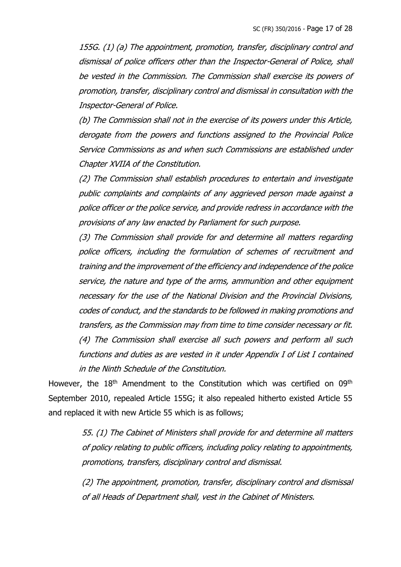155G. (1) (a) The appointment, promotion, transfer, disciplinary control and dismissal of police officers other than the Inspector-General of Police, shall be vested in the Commission. The Commission shall exercise its powers of promotion, transfer, disciplinary control and dismissal in consultation with the Inspector-General of Police.

(b) The Commission shall not in the exercise of its powers under this Article, derogate from the powers and functions assigned to the Provincial Police Service Commissions as and when such Commissions are established under Chapter XVIIA of the Constitution.

(2) The Commission shall establish procedures to entertain and investigate public complaints and complaints of any aggrieved person made against a police officer or the police service, and provide redress in accordance with the provisions of any law enacted by Parliament for such purpose.

(3) The Commission shall provide for and determine all matters regarding police officers, including the formulation of schemes of recruitment and training and the improvement of the efficiency and independence of the police service, the nature and type of the arms, ammunition and other equipment necessary for the use of the National Division and the Provincial Divisions, codes of conduct, and the standards to be followed in making promotions and transfers, as the Commission may from time to time consider necessary or fit. (4) The Commission shall exercise all such powers and perform all such functions and duties as are vested in it under Appendix I of List I contained in the Ninth Schedule of the Constitution.

However, the 18<sup>th</sup> Amendment to the Constitution which was certified on 09<sup>th</sup> September 2010, repealed Article 155G; it also repealed hitherto existed Article 55 and replaced it with new Article 55 which is as follows;

> 55. (1) The Cabinet of Ministers shall provide for and determine all matters of policy relating to public officers, including policy relating to appointments, promotions, transfers, disciplinary control and dismissal.

> (2) The appointment, promotion, transfer, disciplinary control and dismissal of all Heads of Department shall, vest in the Cabinet of Ministers.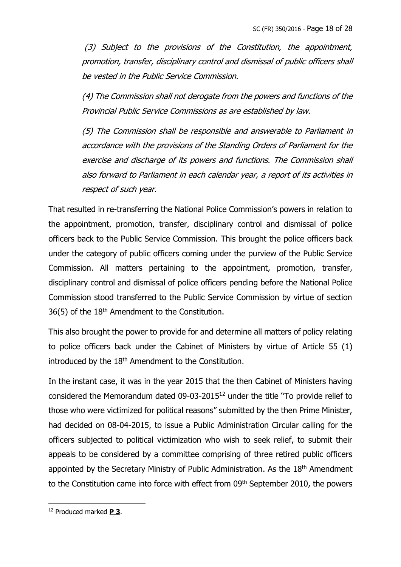(3) Subject to the provisions of the Constitution, the appointment, promotion, transfer, disciplinary control and dismissal of public officers shall be vested in the Public Service Commission.

(4) The Commission shall not derogate from the powers and functions of the Provincial Public Service Commissions as are established by law.

(5) The Commission shall be responsible and answerable to Parliament in accordance with the provisions of the Standing Orders of Parliament for the exercise and discharge of its powers and functions. The Commission shall also forward to Parliament in each calendar year, a report of its activities in respect of such year.

That resulted in re-transferring the National Police Commission's powers in relation to the appointment, promotion, transfer, disciplinary control and dismissal of police officers back to the Public Service Commission. This brought the police officers back under the category of public officers coming under the purview of the Public Service Commission. All matters pertaining to the appointment, promotion, transfer, disciplinary control and dismissal of police officers pending before the National Police Commission stood transferred to the Public Service Commission by virtue of section  $36(5)$  of the  $18<sup>th</sup>$  Amendment to the Constitution.

This also brought the power to provide for and determine all matters of policy relating to police officers back under the Cabinet of Ministers by virtue of Article 55 (1) introduced by the 18<sup>th</sup> Amendment to the Constitution.

In the instant case, it was in the year 2015 that the then Cabinet of Ministers having considered the Memorandum dated 09-03-2015<sup>12</sup> under the title "To provide relief to those who were victimized for political reasons" submitted by the then Prime Minister, had decided on 08-04-2015, to issue a Public Administration Circular calling for the officers subjected to political victimization who wish to seek relief, to submit their appeals to be considered by a committee comprising of three retired public officers appointed by the Secretary Ministry of Public Administration. As the 18<sup>th</sup> Amendment to the Constitution came into force with effect from 09<sup>th</sup> September 2010, the powers

<sup>12</sup> Produced marked **P 3**.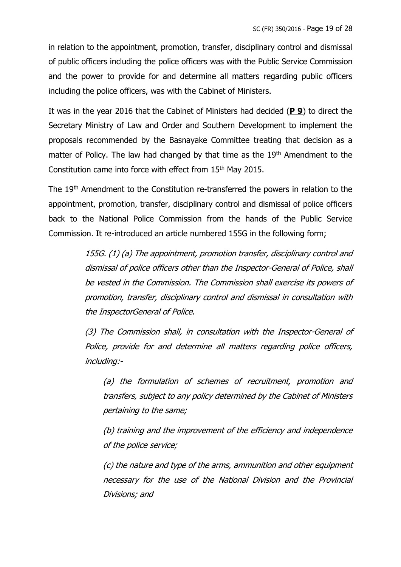in relation to the appointment, promotion, transfer, disciplinary control and dismissal of public officers including the police officers was with the Public Service Commission and the power to provide for and determine all matters regarding public officers including the police officers, was with the Cabinet of Ministers.

It was in the year 2016 that the Cabinet of Ministers had decided (**P 9**) to direct the Secretary Ministry of Law and Order and Southern Development to implement the proposals recommended by the Basnayake Committee treating that decision as a matter of Policy. The law had changed by that time as the 19<sup>th</sup> Amendment to the Constitution came into force with effect from 15th May 2015.

The 19<sup>th</sup> Amendment to the Constitution re-transferred the powers in relation to the appointment, promotion, transfer, disciplinary control and dismissal of police officers back to the National Police Commission from the hands of the Public Service Commission. It re-introduced an article numbered 155G in the following form;

> 155G. (1) (a) The appointment, promotion transfer, disciplinary control and dismissal of police officers other than the Inspector-General of Police, shall be vested in the Commission. The Commission shall exercise its powers of promotion, transfer, disciplinary control and dismissal in consultation with the InspectorGeneral of Police.

> (3) The Commission shall, in consultation with the Inspector-General of Police, provide for and determine all matters regarding police officers, including:-

(a) the formulation of schemes of recruitment, promotion and transfers, subject to any policy determined by the Cabinet of Ministers pertaining to the same;

(b) training and the improvement of the efficiency and independence of the police service;

(c) the nature and type of the arms, ammunition and other equipment necessary for the use of the National Division and the Provincial Divisions; and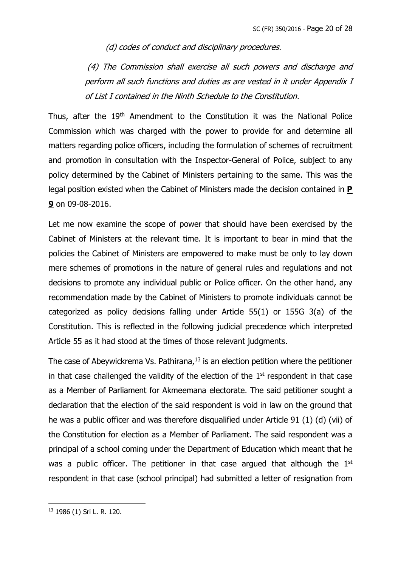(d) codes of conduct and disciplinary procedures.

(4) The Commission shall exercise all such powers and discharge and perform all such functions and duties as are vested in it under Appendix I of List I contained in the Ninth Schedule to the Constitution.

Thus, after the 19th Amendment to the Constitution it was the National Police Commission which was charged with the power to provide for and determine all matters regarding police officers, including the formulation of schemes of recruitment and promotion in consultation with the Inspector-General of Police, subject to any policy determined by the Cabinet of Ministers pertaining to the same. This was the legal position existed when the Cabinet of Ministers made the decision contained in **P 9** on 09-08-2016.

Let me now examine the scope of power that should have been exercised by the Cabinet of Ministers at the relevant time. It is important to bear in mind that the policies the Cabinet of Ministers are empowered to make must be only to lay down mere schemes of promotions in the nature of general rules and regulations and not decisions to promote any individual public or Police officer. On the other hand, any recommendation made by the Cabinet of Ministers to promote individuals cannot be categorized as policy decisions falling under Article 55(1) or 155G 3(a) of the Constitution. This is reflected in the following judicial precedence which interpreted Article 55 as it had stood at the times of those relevant judgments.

The case of Abeywickrema Vs. Pathirana,<sup>13</sup> is an election petition where the petitioner in that case challenged the validity of the election of the  $1<sup>st</sup>$  respondent in that case as a Member of Parliament for Akmeemana electorate. The said petitioner sought a declaration that the election of the said respondent is void in law on the ground that he was a public officer and was therefore disqualified under Article 91 (1) (d) (vii) of the Constitution for election as a Member of Parliament. The said respondent was a principal of a school coming under the Department of Education which meant that he was a public officer. The petitioner in that case argued that although the  $1<sup>st</sup>$ respondent in that case (school principal) had submitted a letter of resignation from

<sup>13</sup> 1986 (1) Sri L. R. 120.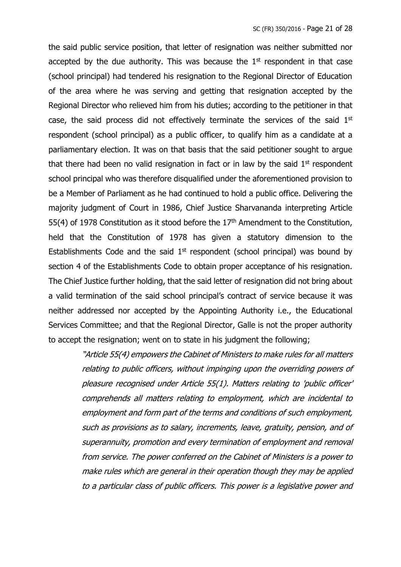the said public service position, that letter of resignation was neither submitted nor accepted by the due authority. This was because the  $1<sup>st</sup>$  respondent in that case (school principal) had tendered his resignation to the Regional Director of Education of the area where he was serving and getting that resignation accepted by the Regional Director who relieved him from his duties; according to the petitioner in that case, the said process did not effectively terminate the services of the said  $1<sup>st</sup>$ respondent (school principal) as a public officer, to qualify him as a candidate at a parliamentary election. It was on that basis that the said petitioner sought to argue that there had been no valid resignation in fact or in law by the said  $1<sup>st</sup>$  respondent school principal who was therefore disqualified under the aforementioned provision to be a Member of Parliament as he had continued to hold a public office. Delivering the majority judgment of Court in 1986, Chief Justice Sharvananda interpreting Article 55(4) of 1978 Constitution as it stood before the  $17<sup>th</sup>$  Amendment to the Constitution, held that the Constitution of 1978 has given a statutory dimension to the Establishments Code and the said  $1<sup>st</sup>$  respondent (school principal) was bound by section 4 of the Establishments Code to obtain proper acceptance of his resignation. The Chief Justice further holding, that the said letter of resignation did not bring about a valid termination of the said school principal's contract of service because it was neither addressed nor accepted by the Appointing Authority i.e., the Educational Services Committee; and that the Regional Director, Galle is not the proper authority to accept the resignation; went on to state in his judgment the following;

> "Article 55(4) empowers the Cabinet of Ministers to make rules for all matters relating to public officers, without impinging upon the overriding powers of pleasure recognised under Article 55(1). Matters relating to 'public officer' comprehends all matters relating to employment, which are incidental to employment and form part of the terms and conditions of such employment, such as provisions as to salary, increments, leave, gratuity, pension, and of superannuity, promotion and every termination of employment and removal from service. The power conferred on the Cabinet of Ministers is a power to make rules which are general in their operation though they may be applied to a particular class of public officers. This power is a legislative power and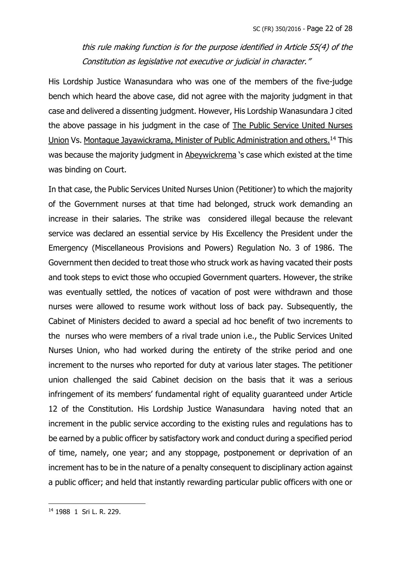this rule making function is for the purpose identified in Article 55(4) of the Constitution as legislative not executive or judicial in character."

His Lordship Justice Wanasundara who was one of the members of the five-judge bench which heard the above case, did not agree with the majority judgment in that case and delivered a dissenting judgment. However, His Lordship Wanasundara J cited the above passage in his judgment in the case of The Public Service United Nurses Union Vs. Montague Jayawickrama, Minister of Public Administration and others.<sup>14</sup> This was because the majority judgment in Abeywickrema 's case which existed at the time was binding on Court.

In that case, the Public Services United Nurses Union (Petitioner) to which the majority of the Government nurses at that time had belonged, struck work demanding an increase in their salaries. The strike was considered illegal because the relevant service was declared an essential service by His Excellency the President under the Emergency (Miscellaneous Provisions and Powers) Regulation No. 3 of 1986. The Government then decided to treat those who struck work as having vacated their posts and took steps to evict those who occupied Government quarters. However, the strike was eventually settled, the notices of vacation of post were withdrawn and those nurses were allowed to resume work without loss of back pay. Subsequently, the Cabinet of Ministers decided to award a special ad hoc benefit of two increments to the nurses who were members of a rival trade union i.e., the Public Services United Nurses Union, who had worked during the entirety of the strike period and one increment to the nurses who reported for duty at various later stages. The petitioner union challenged the said Cabinet decision on the basis that it was a serious infringement of its members' fundamental right of equality guaranteed under Article 12 of the Constitution. His Lordship Justice Wanasundara having noted that an increment in the public service according to the existing rules and regulations has to be earned by a public officer by satisfactory work and conduct during a specified period of time, namely, one year; and any stoppage, postponement or deprivation of an increment has to be in the nature of a penalty consequent to disciplinary action against a public officer; and held that instantly rewarding particular public officers with one or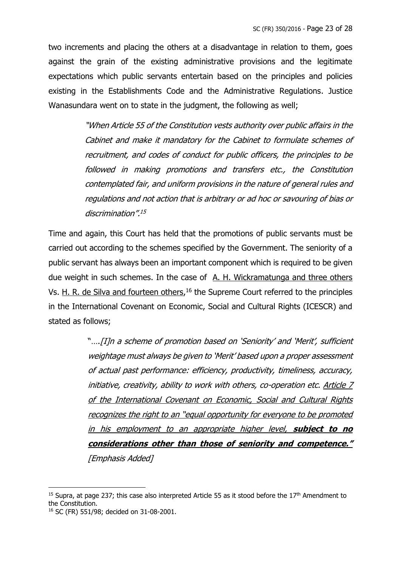two increments and placing the others at a disadvantage in relation to them, goes against the grain of the existing administrative provisions and the legitimate expectations which public servants entertain based on the principles and policies existing in the Establishments Code and the Administrative Regulations. Justice Wanasundara went on to state in the judgment, the following as well;

> "When Article 55 of the Constitution vests authority over public affairs in the Cabinet and make it mandatory for the Cabinet to formulate schemes of recruitment, and codes of conduct for public officers, the principles to be followed in making promotions and transfers etc., the Constitution contemplated fair, and uniform provisions in the nature of general rules and regulations and not action that is arbitrary or ad hoc or savouring of bias or discrimination". 15

Time and again, this Court has held that the promotions of public servants must be carried out according to the schemes specified by the Government. The seniority of a public servant has always been an important component which is required to be given due weight in such schemes. In the case of A. H. Wickramatunga and three others Vs. H. R. de Silva and fourteen others,<sup>16</sup> the Supreme Court referred to the principles in the International Covenant on Economic, Social and Cultural Rights (ICESCR) and stated as follows;

> "….[I]n a scheme of promotion based on 'Seniority' and 'Merit', sufficient weightage must always be given to 'Merit' based upon a proper assessment of actual past performance: efficiency, productivity, timeliness, accuracy, initiative, creativity, ability to work with others, co-operation etc. Article 7 of the International Covenant on Economic, Social and Cultural Rights recognizes the right to an "equal opportunity for everyone to be promoted in his employment to an appropriate higher level, **subject to no considerations other than those of seniority and competence."**  [Emphasis Added]

<sup>&</sup>lt;sup>15</sup> Supra, at page 237; this case also interpreted Article 55 as it stood before the  $17<sup>th</sup>$  Amendment to the Constitution.

<sup>16</sup> SC (FR) 551/98; decided on 31-08-2001.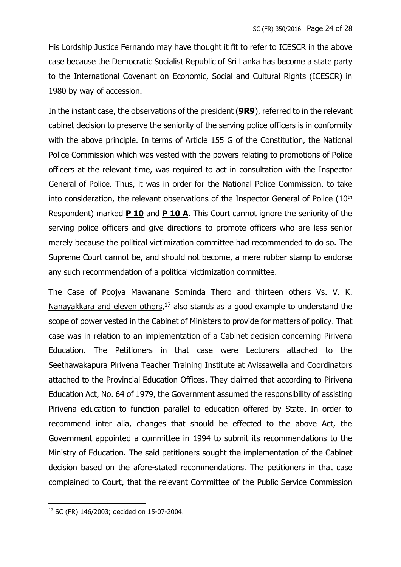His Lordship Justice Fernando may have thought it fit to refer to ICESCR in the above case because the Democratic Socialist Republic of Sri Lanka has become a state party to the International Covenant on Economic, Social and Cultural Rights (ICESCR) in 1980 by way of accession.

In the instant case, the observations of the president (**9R9**), referred to in the relevant cabinet decision to preserve the seniority of the serving police officers is in conformity with the above principle. In terms of Article 155 G of the Constitution, the National Police Commission which was vested with the powers relating to promotions of Police officers at the relevant time, was required to act in consultation with the Inspector General of Police. Thus, it was in order for the National Police Commission, to take into consideration, the relevant observations of the Inspector General of Police  $(10<sup>th</sup>)$ Respondent) marked **P 10** and **P 10 A**. This Court cannot ignore the seniority of the serving police officers and give directions to promote officers who are less senior merely because the political victimization committee had recommended to do so. The Supreme Court cannot be, and should not become, a mere rubber stamp to endorse any such recommendation of a political victimization committee.

The Case of Poojya Mawanane Sominda Thero and thirteen others Vs. V. K. Nanayakkara and eleven others,<sup>17</sup> also stands as a good example to understand the scope of power vested in the Cabinet of Ministers to provide for matters of policy. That case was in relation to an implementation of a Cabinet decision concerning Pirivena Education. The Petitioners in that case were Lecturers attached to the Seethawakapura Pirivena Teacher Training Institute at Avissawella and Coordinators attached to the Provincial Education Offices. They claimed that according to Pirivena Education Act, No. 64 of 1979, the Government assumed the responsibility of assisting Pirivena education to function parallel to education offered by State. In order to recommend inter alia, changes that should be effected to the above Act, the Government appointed a committee in 1994 to submit its recommendations to the Ministry of Education. The said petitioners sought the implementation of the Cabinet decision based on the afore-stated recommendations. The petitioners in that case complained to Court, that the relevant Committee of the Public Service Commission

<sup>17</sup> SC (FR) 146/2003; decided on 15-07-2004.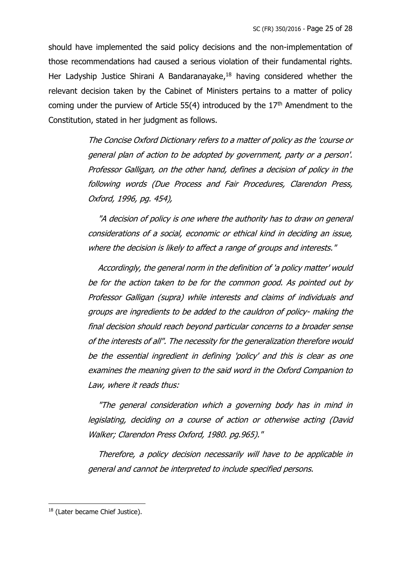should have implemented the said policy decisions and the non-implementation of those recommendations had caused a serious violation of their fundamental rights. Her Ladyship Justice Shirani A Bandaranayake,<sup>18</sup> having considered whether the relevant decision taken by the Cabinet of Ministers pertains to a matter of policy coming under the purview of Article  $55(4)$  introduced by the  $17<sup>th</sup>$  Amendment to the Constitution, stated in her judgment as follows.

> The Concise Oxford Dictionary refers to a matter of policy as the 'course or general plan of action to be adopted by government, party or a person'. Professor Galligan, on the other hand, defines a decision of policy in the following words (Due Process and Fair Procedures, Clarendon Press, Oxford, 1996, pg. 454),

> "A decision of policy is one where the authority has to draw on general considerations of a social, economic or ethical kind in deciding an issue, where the decision is likely to affect a range of groups and interests."

> Accordingly, the general norm in the definition of 'a policy matter' would be for the action taken to be for the common good. As pointed out by Professor Galligan (supra) while interests and claims of individuals and groups are ingredients to be added to the cauldron of policy- making the final decision should reach beyond particular concerns to a broader sense of the interests of all". The necessity for the generalization therefore would be the essential ingredient in defining 'policy' and this is clear as one examines the meaning given to the said word in the Oxford Companion to Law, where it reads thus:

> "The general consideration which a governing body has in mind in legislating, deciding on a course of action or otherwise acting (David Walker; Clarendon Press Oxford, 1980. pg.965)."

> Therefore, a policy decision necessarily will have to be applicable in general and cannot be interpreted to include specified persons.

<sup>&</sup>lt;sup>18</sup> (Later became Chief Justice).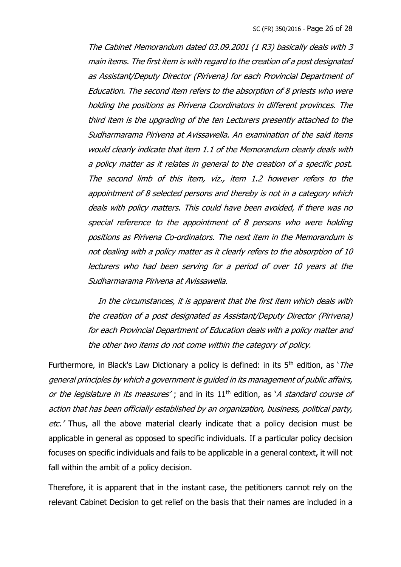The Cabinet Memorandum dated 03.09.2001 (1 R3) basically deals with 3 main items. The first item is with regard to the creation of a post designated as Assistant/Deputy Director (Pirivena) for each Provincial Department of Education. The second item refers to the absorption of 8 priests who were holding the positions as Pirivena Coordinators in different provinces. The third item is the upgrading of the ten Lecturers presently attached to the Sudharmarama Pirivena at Avissawella. An examination of the said items would clearly indicate that item 1.1 of the Memorandum clearly deals with a policy matter as it relates in general to the creation of a specific post. The second limb of this item, viz., item 1.2 however refers to the appointment of 8 selected persons and thereby is not in a category which deals with policy matters. This could have been avoided, if there was no special reference to the appointment of 8 persons who were holding positions as Pirivena Co-ordinators. The next item in the Memorandum is not dealing with a policy matter as it clearly refers to the absorption of 10 lecturers who had been serving for a period of over 10 years at the Sudharmarama Pirivena at Avissawella.

 In the circumstances, it is apparent that the first item which deals with the creation of a post designated as Assistant/Deputy Director (Pirivena) for each Provincial Department of Education deals with a policy matter and the other two items do not come within the category of policy.

Furthermore, in Black's Law Dictionary a policy is defined: in its  $5<sup>th</sup>$  edition, as '*The* general principles by which a government is guided in its management of public affairs, or the legislature in its measures'; and in its  $11<sup>th</sup>$  edition, as 'A standard course of action that has been officially established by an organization, business, political party, etc.' Thus, all the above material clearly indicate that a policy decision must be applicable in general as opposed to specific individuals. If a particular policy decision focuses on specific individuals and fails to be applicable in a general context, it will not fall within the ambit of a policy decision.

Therefore, it is apparent that in the instant case, the petitioners cannot rely on the relevant Cabinet Decision to get relief on the basis that their names are included in a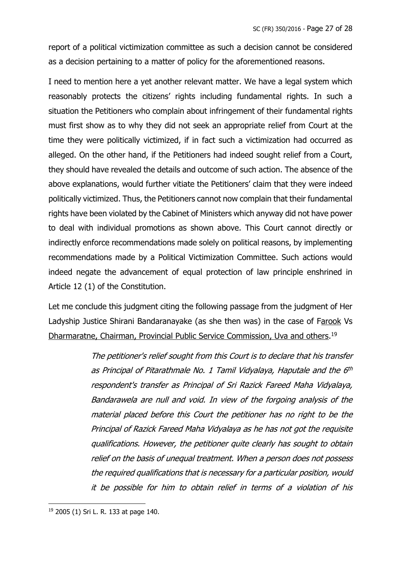report of a political victimization committee as such a decision cannot be considered as a decision pertaining to a matter of policy for the aforementioned reasons.

I need to mention here a yet another relevant matter. We have a legal system which reasonably protects the citizens' rights including fundamental rights. In such a situation the Petitioners who complain about infringement of their fundamental rights must first show as to why they did not seek an appropriate relief from Court at the time they were politically victimized, if in fact such a victimization had occurred as alleged. On the other hand, if the Petitioners had indeed sought relief from a Court, they should have revealed the details and outcome of such action. The absence of the above explanations, would further vitiate the Petitioners' claim that they were indeed politically victimized. Thus, the Petitioners cannot now complain that their fundamental rights have been violated by the Cabinet of Ministers which anyway did not have power to deal with individual promotions as shown above. This Court cannot directly or indirectly enforce recommendations made solely on political reasons, by implementing recommendations made by a Political Victimization Committee. Such actions would indeed negate the advancement of equal protection of law principle enshrined in Article 12 (1) of the Constitution.

Let me conclude this judgment citing the following passage from the judgment of Her Ladyship Justice Shirani Bandaranayake (as she then was) in the case of Farook Vs Dharmaratne, Chairman, Provincial Public Service Commission, Uva and others.<sup>19</sup>

> The petitioner's relief sought from this Court is to declare that his transfer as Principal of Pitarathmale No. 1 Tamil Vidyalaya, Haputale and the 6th respondent's transfer as Principal of Sri Razick Fareed Maha Vidyalaya, Bandarawela are null and void. In view of the forgoing analysis of the material placed before this Court the petitioner has no right to be the Principal of Razick Fareed Maha Vidyalaya as he has not got the requisite qualifications. However, the petitioner quite clearly has sought to obtain relief on the basis of unequal treatment. When a person does not possess the required qualifications that is necessary for a particular position, would it be possible for him to obtain relief in terms of a violation of his

<sup>19</sup> 2005 (1) Sri L. R. 133 at page 140.